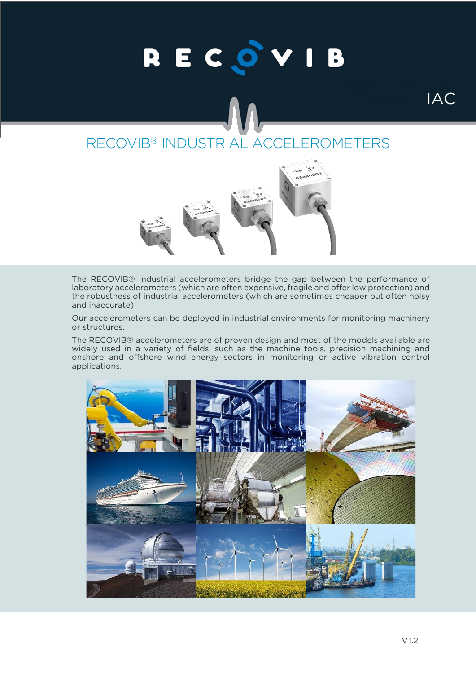# RECOVIB

# RECOVIB® INDUSTRIAL ACCELEROMETERS



The RECOVIB® industrial accelerometers bridge the gap between the performance of laboratory accelerometers (which are often expensive, fragile and offer low protection) and the robustness of industrial accelerometers (which are sometimes cheaper but often noisy and inaccurate).

Our accelerometers can be deployed in industrial environments for monitoring machinery or structures.

The RECOVIB® accelerometers are of proven design and most of the models available are widely used in a variety of fields, such as the machine tools, precision machining and onshore and offshore wind energy sectors in monitoring or active vibration control applications.

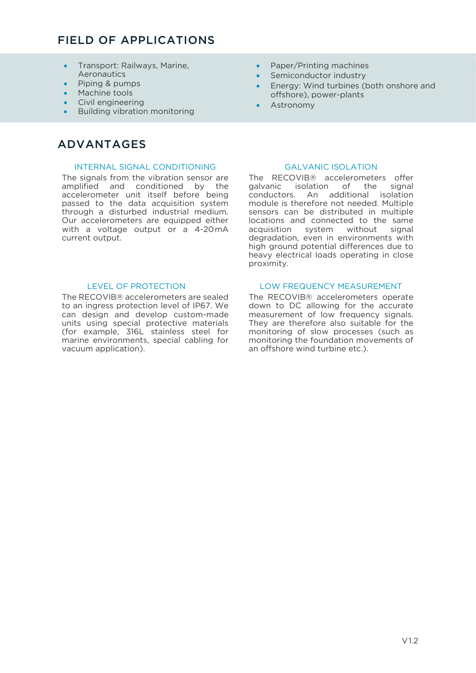# FIELD OF APPLICATIONS

- Transport: Railways, Marine, **Aeronautics**
- Piping & pumps
- Machine tools
- Civil engineering
- Building vibration monitoring

# ADVANTAGES

## INTERNAL SIGNAL CONDITIONING GALVANIC ISOLATION

The signals from the vibration sensor are amplified and conditioned by the accelerometer unit itself before being passed to the data acquisition system through a disturbed industrial medium. Our accelerometers are equipped either with a voltage output or a 4-20mA current output.

The RECOVIB® accelerometers are sealed to an ingress protection level of IP67. We can design and develop custom-made units using special protective materials (for example, 316L stainless steel for marine environments, special cabling for vacuum application).

- Paper/Printing machines
- Semiconductor industry
- Energy: Wind turbines (both onshore and offshore), power-plants
- **Astronomy**

The RECOVIB® accelerometers offer galvanic isolation of the signal conductors. An additional isolation module is therefore not needed. Multiple sensors can be distributed in multiple locations and connected to the same acquisition system without signal degradation, even in environments with high ground potential differences due to heavy electrical loads operating in close proximity.

## LEVEL OF PROTECTION LOW FREQUENCY MEASUREMENT

The RECOVIB® accelerometers operate down to DC allowing for the accurate measurement of low frequency signals. They are therefore also suitable for the monitoring of slow processes (such as monitoring the foundation movements of an offshore wind turbine etc.).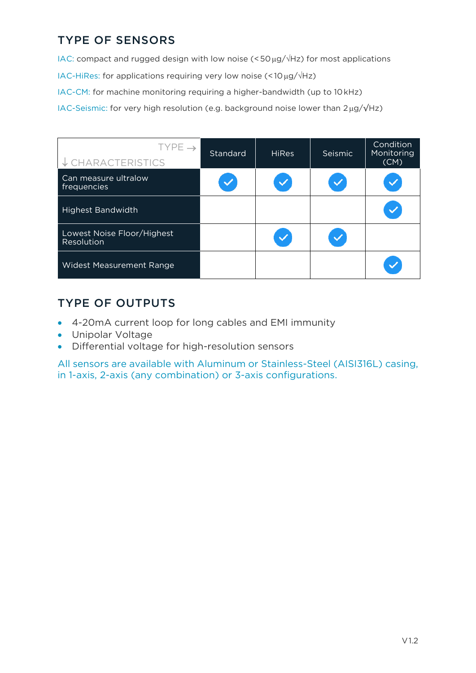# TYPE OF SENSORS

IAC: compact and rugged design with low noise ( $\leq$  50  $\mu$ g/ $\sqrt{Hz}$ ) for most applications

IAC-HiRes: for applications requiring very low noise (<10 $\mu$ g/ $\sqrt{Hz}$ )

IAC-CM: for machine monitoring requiring a higher-bandwidth (up to 10kHz)

IAC-Seismic: for very high resolution (e.g. background noise lower than 2μg/√Hz)

| TYPE $\rightarrow$<br>↓ CHARACTERISTICS  | Standard | <b>HiRes</b> | <b>Seismic</b> | Condition<br>Monitoring<br>(CM) |
|------------------------------------------|----------|--------------|----------------|---------------------------------|
| Can measure ultralow<br>frequencies      |          |              |                |                                 |
| <b>Highest Bandwidth</b>                 |          |              |                |                                 |
| Lowest Noise Floor/Highest<br>Resolution |          |              |                |                                 |
| <b>Widest Measurement Range</b>          |          |              |                |                                 |

# TYPE OF OUTPUTS

- 4-20mA current loop for long cables and EMI immunity
- Unipolar Voltage
- Differential voltage for high-resolution sensors

All sensors are available with Aluminum or Stainless-Steel (AISI316L) casing, in 1-axis, 2-axis (any combination) or 3-axis configurations.